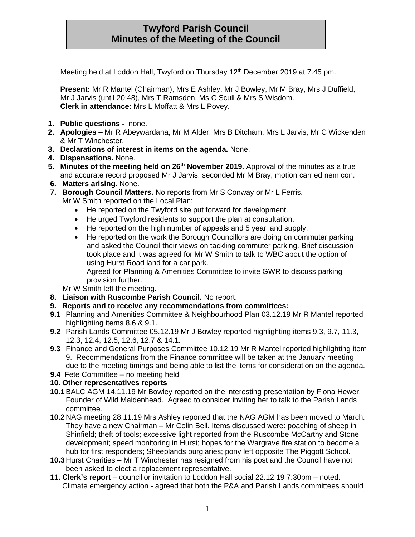# **Twyford Parish Council Minutes of the Meeting of the Council**

Meeting held at Loddon Hall, Twyford on Thursday 12<sup>th</sup> December 2019 at 7.45 pm.

**Present:** Mr R Mantel (Chairman), Mrs E Ashley, Mr J Bowley, Mr M Bray, Mrs J Duffield, Mr J Jarvis (until 20:48), Mrs T Ramsden, Ms C Scull & Mrs S Wisdom. **Clerk in attendance:** Mrs L Moffatt & Mrs L Povey.

- **1. Public questions -** none.
- **2. Apologies –** Mr R Abeywardana, Mr M Alder, Mrs B Ditcham, Mrs L Jarvis, Mr C Wickenden & Mr T Winchester.
- **3. Declarations of interest in items on the agenda.** None.
- **4. Dispensations.** None.
- **5. Minutes of the meeting held on 26th November 2019.** Approval of the minutes as a true and accurate record proposed Mr J Jarvis, seconded Mr M Bray, motion carried nem con.
- **6. Matters arising.** None.
- **7. Borough Council Matters.** No reports from Mr S Conway or Mr L Ferris.
	- Mr W Smith reported on the Local Plan:
		- He reported on the Twyford site put forward for development.
		- He urged Twyford residents to support the plan at consultation.
		- He reported on the high number of appeals and 5 year land supply.
		- He reported on the work the Borough Councillors are doing on commuter parking and asked the Council their views on tackling commuter parking. Brief discussion took place and it was agreed for Mr W Smith to talk to WBC about the option of using Hurst Road land for a car park.

Agreed for Planning & Amenities Committee to invite GWR to discuss parking provision further.

Mr W Smith left the meeting.

- **8. Liaison with Ruscombe Parish Council.** No report.
- **9. Reports and to receive any recommendations from committees:**
- **9.1** Planning and Amenities Committee & Neighbourhood Plan 03.12.19 Mr R Mantel reported highlighting items 8.6 & 9.1.
- **9.2** Parish Lands Committee 05.12.19 Mr J Bowley reported highlighting items 9.3, 9.7, 11.3, 12.3, 12.4, 12.5, 12.6, 12.7 & 14.1.
- **9.3** Finance and General Purposes Committee 10.12.19 Mr R Mantel reported highlighting item 9. Recommendations from the Finance committee will be taken at the January meeting due to the meeting timings and being able to list the items for consideration on the agenda.
- **9.4** Fete Committee no meeting held

## **10. Other representatives reports**

- **10.1**BALC AGM 14.11.19 Mr Bowley reported on the interesting presentation by Fiona Hewer, Founder of Wild Maidenhead. Agreed to consider inviting her to talk to the Parish Lands committee.
- **10.2** NAG meeting 28.11.19 Mrs Ashley reported that the NAG AGM has been moved to March. They have a new Chairman – Mr Colin Bell. Items discussed were: poaching of sheep in Shinfield; theft of tools; excessive light reported from the Ruscombe McCarthy and Stone development; speed monitoring in Hurst; hopes for the Wargrave fire station to become a hub for first responders; Sheeplands burglaries; pony left opposite The Piggott School.
- **10.3** Hurst Charities Mr T Winchester has resigned from his post and the Council have not been asked to elect a replacement representative.
- **11. Clerk's report** councillor invitation to Loddon Hall social 22.12.19 7:30pm noted. Climate emergency action - agreed that both the P&A and Parish Lands committees should